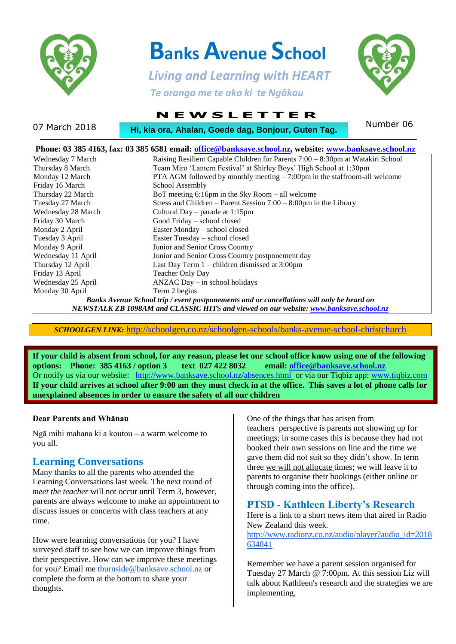

# **Banks Avenue School**

 *Living and Learning with HEART Te oranga me te ako ki te Ngākau*



## **N E W S L E T T E R**

07 March 2018 **Number 19, Ahalan, Goede dag, Bonjour, Guten Tag.** Number 06

| Phone: 03 385 4163, fax: 03 385 6581 email: office@banksave.school.nz, website: www.banksave.school.nz |                                                                                 |  |  |  |
|--------------------------------------------------------------------------------------------------------|---------------------------------------------------------------------------------|--|--|--|
| Wednesday 7 March                                                                                      | Raising Resilient Capable Children for Parents 7:00 – 8:30pm at Watakiri School |  |  |  |
| Thursday 8 March                                                                                       | Team Miro 'Lantern Festival' at Shirley Boys' High School at 1:30pm             |  |  |  |
| Monday 12 March                                                                                        | PTA AGM followed by monthly meeting $-7:00$ pm in the staffroom-all welcome     |  |  |  |
| Friday 16 March                                                                                        | School Assembly                                                                 |  |  |  |
| Thursday 22 March                                                                                      | BoT meeting $6:16$ pm in the Sky Room – all welcome                             |  |  |  |
| Tuesday 27 March                                                                                       | Stress and Children – Parent Session $7:00 - 8:00$ pm in the Library            |  |  |  |
| Wednesday 28 March                                                                                     | Cultural Day – parade at $1:15$ pm                                              |  |  |  |
| Friday 30 March                                                                                        | Good Friday - school closed                                                     |  |  |  |
| Monday 2 April                                                                                         | Easter Monday - school closed                                                   |  |  |  |
| Tuesday 3 April                                                                                        | Easter Tuesday - school closed                                                  |  |  |  |
| Monday 9 April                                                                                         | Junior and Senior Cross Country                                                 |  |  |  |
| Wednesday 11 April                                                                                     | Junior and Senior Cross Country postponement day                                |  |  |  |
| Thursday 12 April                                                                                      | Last Day Term $1$ – children dismissed at 3:00pm                                |  |  |  |
| Friday 13 April                                                                                        | Teacher Only Day                                                                |  |  |  |
| Wednesday 25 April                                                                                     | $ANZAC$ Day $-$ in school holidays                                              |  |  |  |
| Monday 30 April                                                                                        | Term 2 begins                                                                   |  |  |  |
| Banks Avenue School trip / event postponements and or cancellations will only be heard on              |                                                                                 |  |  |  |
| NEWSTALK ZB 1098AM and CLASSIC HITS and viewed on our website: www.banksave.school.nz                  |                                                                                 |  |  |  |

*SCHOOLGEN LINK:* <http://schoolgen.co.nz/schoolgen-schools/banks-avenue-school-christchurch>

**If your child is absent from school, for any reason, please let our school office know using one of the following options: Phone: 385 4163 / option 3 text 027 422 8032 email[: office@banksave.school.nz](mailto:office@banksave.school.nz)** Or notify us via our website: <http://www.banksave.school.nz/absences.html> or via our Tiqbiz app: [www.tiqbiz.com](http://www.tiqbiz.com/) **If your child arrives at school after 9:00 am they must check in at the office. This saves a lot of phone calls for unexplained absences in order to ensure the safety of all our children**

### **Dear Parents and Whānau**

Ngā mihi mahana ki a koutou – a warm welcome to you all.

### **Learning Conversations**

Many thanks to all the parents who attended the Learning Conversations last week. The next round of *meet the teacher* will not occur until Term 3, however, parents are always welcome to make an appointment to discuss issues or concerns with class teachers at any time.

How were learning conversations for you? I have surveyed staff to see how we can improve things from their perspective. How can we improve these meetings for you? Email me [tburnside@banksave.school.nz](mailto:tburnside@banksave.school.nz) or complete the form at the bottom to share your thoughts.

One of the things that has arisen from

teachers perspective is parents not showing up for meetings; in some cases this is because they had not booked their own sessions on line and the time we gave them did not suit so they didn't show. In term three we will not allocate times; we will leave it to parents to organise their bookings (either online or through coming into the office).

### **PTSD - Kathleen Liberty's Research**

Here is a link to a short news item that aired in Radio New Zealand this week.

[http://www.radionz.co.nz/audio/player?audio\\_id=2018](http://www.radionz.co.nz/audio/player?audio_id=2018634841) [634841](http://www.radionz.co.nz/audio/player?audio_id=2018634841)

Remember we have a parent session organised for Tuesday 27 March @ 7:00pm. At this session Liz will talk about Kathleen's research and the strategies we are implementing,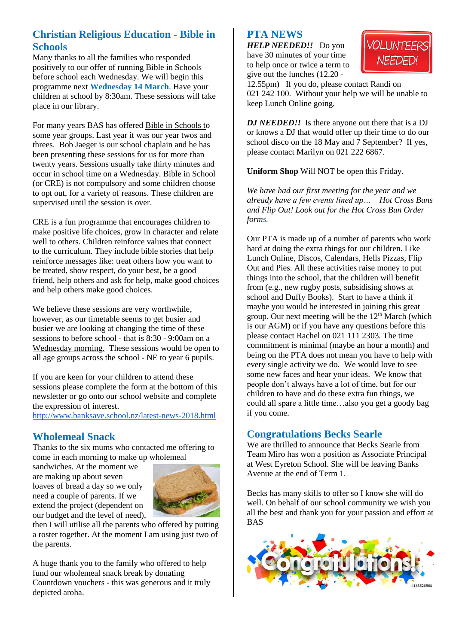## **Christian Religious Education - Bible in Schools**

Many thanks to all the families who responded positively to our offer of running Bible in Schools before school each Wednesday. We will begin this programme next **Wednesday 14 March**. Have your children at school by 8:30am. These sessions will take place in our library.

For many years BAS has offered Bible in Schools to some year groups. Last year it was our year twos and threes. Bob Jaeger is our school chaplain and he has been presenting these sessions for us for more than twenty years. Sessions usually take thirty minutes and occur in school time on a Wednesday. Bible in School (or CRE) is not compulsory and some children choose to opt out, for a variety of reasons. These children are supervised until the session is over.

CRE is a fun programme that encourages children to make positive life choices, grow in character and relate well to others. Children reinforce values that connect to the curriculum. They include bible stories that help reinforce messages like: treat others how you want to be treated, show respect, do your best, be a good friend, help others and ask for help, make good choices and help others make good choices.

We believe these sessions are very worthwhile, however, as our timetable seems to get busier and busier we are looking at changing the time of these sessions to before school - that is 8:30 - 9:00am on a Wednesday morning. These sessions would be open to all age groups across the school - NE to year 6 pupils.

If you are keen for your children to attend these sessions please complete the form at the bottom of this newsletter or go onto our school website and complete the expression of interest.

<http://www.banksave.school.nz/latest-news-2018.html>

## **Wholemeal Snack**

Thanks to the six mums who contacted me offering to come in each morning to make up wholemeal

sandwiches. At the moment we are making up about seven loaves of bread a day so we only need a couple of parents. If we extend the project (dependent on our budget and the level of need),



then I will utilise all the parents who offered by putting a roster together. At the moment I am using just two of the parents.

A huge thank you to the family who offered to help fund our wholemeal snack break by donating Countdown vouchers - this was generous and it truly depicted aroha.

### **PTA NEWS**

*HELP NEEDED!!* Do you have 30 minutes of your time to help once or twice a term to give out the lunches (12.20 -



12.55pm) If you do, please contact Randi on 021 242 100. Without your help we will be unable to keep Lunch Online going.

*DJ NEEDED!!* Is there anyone out there that is a DJ or knows a DJ that would offer up their time to do our school disco on the 18 May and 7 September? If yes, please contact Marilyn on 021 222 6867.

**Uniform Shop** Will NOT be open this Friday.

*We have had our first meeting for the year and we already have a few events lined up… Hot Cross Buns and Flip Out! Look out for the Hot Cross Bun Order forms.*

Our PTA is made up of a number of parents who work hard at doing the extra things for our children. Like Lunch Online, Discos, Calendars, Hells Pizzas, Flip Out and Pies. All these activities raise money to put things into the school, that the children will benefit from (e.g., new rugby posts, subsidising shows at school and Duffy Books). Start to have a think if maybe you would be interested in joining this great group. Our next meeting will be the  $12<sup>th</sup>$  March (which is our AGM) or if you have any questions before this please contact Rachel on 021 111 2303. The time commitment is minimal (maybe an hour a month) and being on the PTA does not mean you have to help with every single activity we do. We would love to see some new faces and hear your ideas. We know that people don't always have a lot of time, but for our children to have and do these extra fun things, we could all spare a little time…also you get a goody bag if you come.

### **Congratulations Becks Searle**

We are thrilled to announce that Becks Searle from Team Miro has won a position as Associate Principal at West Eyreton School. She will be leaving Banks Avenue at the end of Term 1.

Becks has many skills to offer so I know she will do well. On behalf of our school community we wish you all the best and thank you for your passion and effort at BAS

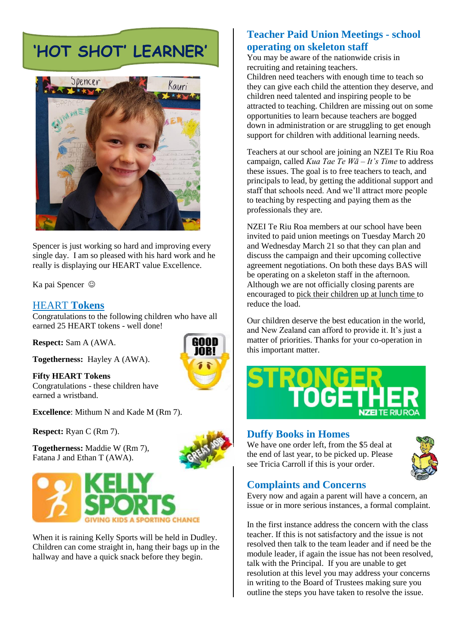## **'HOT SHOT' LEARNER'**



Spencer is just working so hard and improving every single day. I am so pleased with his hard work and he really is displaying our HEART value Excellence.

Ka pai Spencer

### HEART **Tokens**

Congratulations to the following children who have all earned 25 HEART tokens - well done!

**Respect:** Sam A (AWA.

**Togetherness:** Hayley A (AWA).

**Fifty HEART Tokens** Congratulations - these children have earned a wristband.

**Excellence**: Mithum N and Kade M (Rm 7).

**Respect:** Ryan C (Rm 7).

**Togetherness:** Maddie W (Rm 7), Fatana J and Ethan T (AWA).



When it is raining Kelly Sports will be held in Dudley. Children can come straight in, hang their bags up in the hallway and have a quick snack before they begin.

## **Teacher Paid Union Meetings - school operating on skeleton staff**

You may be aware of the nationwide crisis in recruiting and retaining teachers.

Children need teachers with enough time to teach so they can give each child the attention they deserve, and children need talented and inspiring people to be attracted to teaching. Children are missing out on some opportunities to learn because teachers are bogged down in administration or are struggling to get enough support for children with additional learning needs.

Teachers at our school are joining an NZEI Te Riu Roa campaign, called *Kua Tae Te Wā – It's Time* to address these issues. The goal is to free teachers to teach, and principals to lead, by getting the additional support and staff that schools need. And we'll attract more people to teaching by respecting and paying them as the professionals they are.

NZEI Te Riu Roa members at our school have been invited to paid union meetings on Tuesday March 20 and Wednesday March 21 so that they can plan and discuss the campaign and their upcoming collective agreement negotiations. On both these days BAS will be operating on a skeleton staff in the afternoon. Although we are not officially closing parents are encouraged to pick their children up at lunch time to reduce the load.

Our children deserve the best education in the world, and New Zealand can afford to provide it. It's just a matter of priorities. Thanks for your co-operation in this important matter.



### **Duffy Books in Homes**

We have one order left, from the \$5 deal at the end of last year, to be picked up. Please see Tricia Carroll if this is your order.



## **Complaints and Concerns**

Every now and again a parent will have a concern, an issue or in more serious instances, a formal complaint.

In the first instance address the concern with the class teacher. If this is not satisfactory and the issue is not resolved then talk to the team leader and if need be the module leader, if again the issue has not been resolved, talk with the Principal. If you are unable to get resolution at this level you may address your concerns in writing to the Board of Trustees making sure you outline the steps you have taken to resolve the issue.